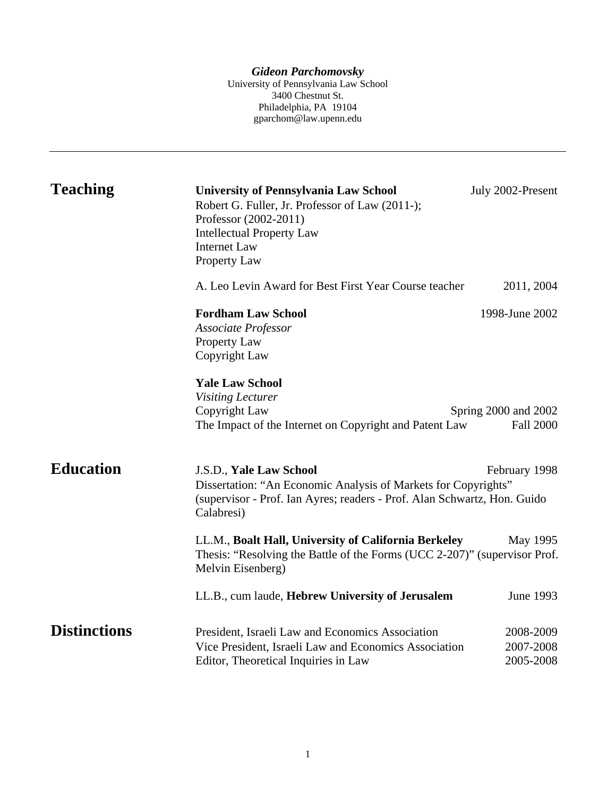*Gideon Parchomovsky* 

University of Pennsylvania Law School 3400 Chestnut St. Philadelphia, PA 19104 gparchom@law.upenn.edu

| <b>Teaching</b>     | <b>University of Pennsylvania Law School</b><br>Robert G. Fuller, Jr. Professor of Law (2011-);<br>Professor (2002-2011)<br><b>Intellectual Property Law</b><br><b>Internet Law</b><br>Property Law | July 2002-Present                        |
|---------------------|-----------------------------------------------------------------------------------------------------------------------------------------------------------------------------------------------------|------------------------------------------|
|                     | A. Leo Levin Award for Best First Year Course teacher                                                                                                                                               | 2011, 2004                               |
|                     | <b>Fordham Law School</b><br><b>Associate Professor</b><br>Property Law<br>Copyright Law                                                                                                            | 1998-June 2002                           |
|                     | <b>Yale Law School</b><br><b>Visiting Lecturer</b><br>Copyright Law<br>The Impact of the Internet on Copyright and Patent Law                                                                       | Spring 2000 and 2002<br><b>Fall 2000</b> |
| <b>Education</b>    | J.S.D., Yale Law School<br>Dissertation: "An Economic Analysis of Markets for Copyrights"<br>(supervisor - Prof. Ian Ayres; readers - Prof. Alan Schwartz, Hon. Guido<br>Calabresi)                 | February 1998                            |
|                     | LL.M., Boalt Hall, University of California Berkeley<br>Thesis: "Resolving the Battle of the Forms (UCC 2-207)" (supervisor Prof.<br>Melvin Eisenberg)                                              | May 1995                                 |
|                     | LL.B., cum laude, Hebrew University of Jerusalem                                                                                                                                                    | June 1993                                |
| <b>Distinctions</b> | President, Israeli Law and Economics Association<br>Vice President, Israeli Law and Economics Association<br>Editor, Theoretical Inquiries in Law                                                   | 2008-2009<br>2007-2008<br>2005-2008      |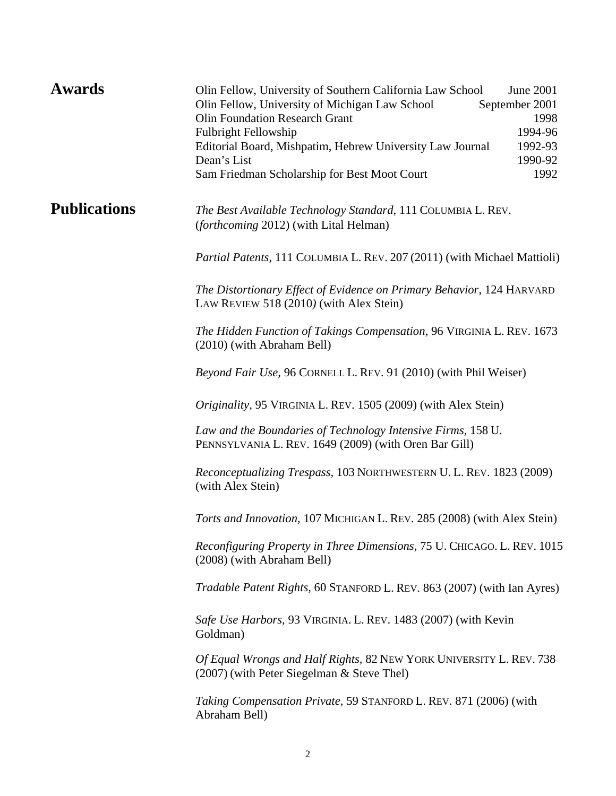| <b>Publications</b><br>The Best Available Technology Standard, 111 COLUMBIA L. REV.<br><i>(forthcoming 2012)</i> (with Lital Helman)<br><i>Partial Patents</i> , 111 COLUMBIA L. REV. 207 (2011) (with Michael Mattioli)<br>The Distortionary Effect of Evidence on Primary Behavior, 124 HARVARD<br>LAW REVIEW 518 (2010) (with Alex Stein)<br>The Hidden Function of Takings Compensation, 96 VIRGINIA L. REV. 1673<br>(2010) (with Abraham Bell)<br>Beyond Fair Use, 96 CORNELL L. REV. 91 (2010) (with Phil Weiser)<br>Originality, 95 VIRGINIA L. REV. 1505 (2009) (with Alex Stein)<br>Law and the Boundaries of Technology Intensive Firms, 158 U.<br>PENNSYLVANIA L. REV. 1649 (2009) (with Oren Bar Gill)<br>Reconceptualizing Trespass, 103 NORTHWESTERN U. L. REV. 1823 (2009)<br>(with Alex Stein)<br>Torts and Innovation, 107 MICHIGAN L. REV. 285 (2008) (with Alex Stein)<br>Reconfiguring Property in Three Dimensions, 75 U. CHICAGO. L. REV. 1015<br>(2008) (with Abraham Bell)<br>Tradable Patent Rights, 60 STANFORD L. REV. 863 (2007) (with Ian Ayres)<br>Safe Use Harbors, 93 VIRGINIA. L. REV. 1483 (2007) (with Kevin<br>Goldman)<br>Of Equal Wrongs and Half Rights, 82 NEW YORK UNIVERSITY L. REV. 738<br>$(2007)$ (with Peter Siegelman & Steve Thel)<br><i>Taking Compensation Private, 59 STANFORD L. REV. 871 (2006) (with Taking Compensation Private, 59 STANFORD L. REV. 871 (2006) (with Taking Compensation Private, 59 STANFORD L.</i><br>Abraham Bell) | <b>Awards</b> | Olin Fellow, University of Southern California Law School<br>June 2001<br>Olin Fellow, University of Michigan Law School<br>September 2001<br><b>Olin Foundation Research Grant</b><br>1998<br>Fulbright Fellowship<br>1994-96<br>1992-93<br>Editorial Board, Mishpatim, Hebrew University Law Journal<br>Dean's List<br>1990-92<br>1992<br>Sam Friedman Scholarship for Best Moot Court |  |
|-----------------------------------------------------------------------------------------------------------------------------------------------------------------------------------------------------------------------------------------------------------------------------------------------------------------------------------------------------------------------------------------------------------------------------------------------------------------------------------------------------------------------------------------------------------------------------------------------------------------------------------------------------------------------------------------------------------------------------------------------------------------------------------------------------------------------------------------------------------------------------------------------------------------------------------------------------------------------------------------------------------------------------------------------------------------------------------------------------------------------------------------------------------------------------------------------------------------------------------------------------------------------------------------------------------------------------------------------------------------------------------------------------------------------------------------------------------------------------------------------|---------------|------------------------------------------------------------------------------------------------------------------------------------------------------------------------------------------------------------------------------------------------------------------------------------------------------------------------------------------------------------------------------------------|--|
|                                                                                                                                                                                                                                                                                                                                                                                                                                                                                                                                                                                                                                                                                                                                                                                                                                                                                                                                                                                                                                                                                                                                                                                                                                                                                                                                                                                                                                                                                               |               |                                                                                                                                                                                                                                                                                                                                                                                          |  |
|                                                                                                                                                                                                                                                                                                                                                                                                                                                                                                                                                                                                                                                                                                                                                                                                                                                                                                                                                                                                                                                                                                                                                                                                                                                                                                                                                                                                                                                                                               |               |                                                                                                                                                                                                                                                                                                                                                                                          |  |
|                                                                                                                                                                                                                                                                                                                                                                                                                                                                                                                                                                                                                                                                                                                                                                                                                                                                                                                                                                                                                                                                                                                                                                                                                                                                                                                                                                                                                                                                                               |               |                                                                                                                                                                                                                                                                                                                                                                                          |  |
|                                                                                                                                                                                                                                                                                                                                                                                                                                                                                                                                                                                                                                                                                                                                                                                                                                                                                                                                                                                                                                                                                                                                                                                                                                                                                                                                                                                                                                                                                               |               |                                                                                                                                                                                                                                                                                                                                                                                          |  |
|                                                                                                                                                                                                                                                                                                                                                                                                                                                                                                                                                                                                                                                                                                                                                                                                                                                                                                                                                                                                                                                                                                                                                                                                                                                                                                                                                                                                                                                                                               |               |                                                                                                                                                                                                                                                                                                                                                                                          |  |
|                                                                                                                                                                                                                                                                                                                                                                                                                                                                                                                                                                                                                                                                                                                                                                                                                                                                                                                                                                                                                                                                                                                                                                                                                                                                                                                                                                                                                                                                                               |               |                                                                                                                                                                                                                                                                                                                                                                                          |  |
|                                                                                                                                                                                                                                                                                                                                                                                                                                                                                                                                                                                                                                                                                                                                                                                                                                                                                                                                                                                                                                                                                                                                                                                                                                                                                                                                                                                                                                                                                               |               |                                                                                                                                                                                                                                                                                                                                                                                          |  |
|                                                                                                                                                                                                                                                                                                                                                                                                                                                                                                                                                                                                                                                                                                                                                                                                                                                                                                                                                                                                                                                                                                                                                                                                                                                                                                                                                                                                                                                                                               |               |                                                                                                                                                                                                                                                                                                                                                                                          |  |
|                                                                                                                                                                                                                                                                                                                                                                                                                                                                                                                                                                                                                                                                                                                                                                                                                                                                                                                                                                                                                                                                                                                                                                                                                                                                                                                                                                                                                                                                                               |               |                                                                                                                                                                                                                                                                                                                                                                                          |  |
|                                                                                                                                                                                                                                                                                                                                                                                                                                                                                                                                                                                                                                                                                                                                                                                                                                                                                                                                                                                                                                                                                                                                                                                                                                                                                                                                                                                                                                                                                               |               |                                                                                                                                                                                                                                                                                                                                                                                          |  |
|                                                                                                                                                                                                                                                                                                                                                                                                                                                                                                                                                                                                                                                                                                                                                                                                                                                                                                                                                                                                                                                                                                                                                                                                                                                                                                                                                                                                                                                                                               |               |                                                                                                                                                                                                                                                                                                                                                                                          |  |
|                                                                                                                                                                                                                                                                                                                                                                                                                                                                                                                                                                                                                                                                                                                                                                                                                                                                                                                                                                                                                                                                                                                                                                                                                                                                                                                                                                                                                                                                                               |               |                                                                                                                                                                                                                                                                                                                                                                                          |  |
|                                                                                                                                                                                                                                                                                                                                                                                                                                                                                                                                                                                                                                                                                                                                                                                                                                                                                                                                                                                                                                                                                                                                                                                                                                                                                                                                                                                                                                                                                               |               |                                                                                                                                                                                                                                                                                                                                                                                          |  |
|                                                                                                                                                                                                                                                                                                                                                                                                                                                                                                                                                                                                                                                                                                                                                                                                                                                                                                                                                                                                                                                                                                                                                                                                                                                                                                                                                                                                                                                                                               |               |                                                                                                                                                                                                                                                                                                                                                                                          |  |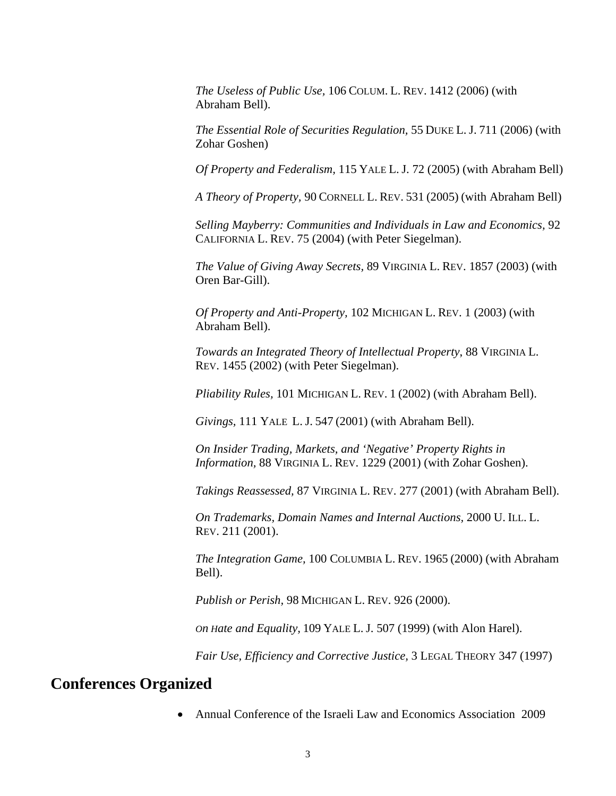*The Useless of Public Use,* 106 COLUM. L. REV. 1412 (2006) (with Abraham Bell).

*The Essential Role of Securities Regulation,* 55 DUKE L. J. 711 (2006) (with Zohar Goshen)

*Of Property and Federalism,* 115 YALE L. J. 72 (2005) (with Abraham Bell)

*A Theory of Property,* 90 CORNELL L. REV. 531 (2005) (with Abraham Bell)

*Selling Mayberry: Communities and Individuals in Law and Economics,* 92 CALIFORNIA L. REV. 75 (2004) (with Peter Siegelman).

*The Value of Giving Away Secrets,* 89 VIRGINIA L. REV. 1857 (2003) (with Oren Bar-Gill).

*Of Property and Anti-Property,* 102 MICHIGAN L. REV. 1 (2003) (with Abraham Bell).

*Towards an Integrated Theory of Intellectual Property*, 88 VIRGINIA L. REV. 1455 (2002) (with Peter Siegelman).

*Pliability Rules,* 101 MICHIGAN L. REV. 1 (2002) (with Abraham Bell).

*Givings,* 111 YALE L. J. 547 (2001) (with Abraham Bell).

*On Insider Trading, Markets, and 'Negative' Property Rights in Information,* 88 VIRGINIA L. REV. 1229 (2001) (with Zohar Goshen).

*Takings Reassessed,* 87 VIRGINIA L. REV. 277 (2001) (with Abraham Bell).

*On Trademarks, Domain Names and Internal Auctions,* 2000 U. ILL. L. REV. 211 (2001).

*The Integration Game,* 100 COLUMBIA L. REV. 1965 (2000) (with Abraham Bell).

*Publish or Perish,* 98 MICHIGAN L. REV. 926 (2000).

*On Hate and Equality,* 109 YALE L. J. 507 (1999) (with Alon Harel).

*Fair Use, Efficiency and Corrective Justice,* 3 LEGAL THEORY 347 (1997)

## **Conferences Organized**

Annual Conference of the Israeli Law and Economics Association 2009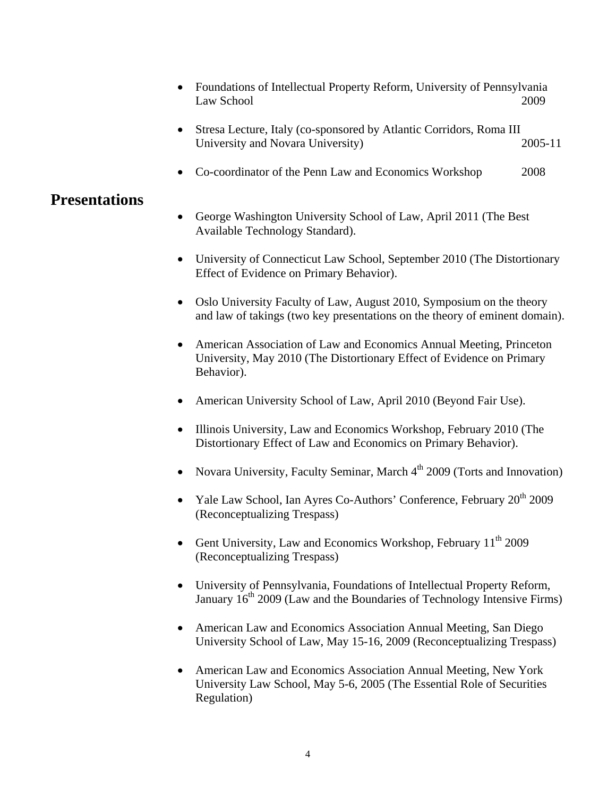- Foundations of Intellectual Property Reform, University of Pennsylvania Law School 2009
- Stresa Lecture, Italy (co-sponsored by Atlantic Corridors, Roma III University and Novara University) 2005-11
- Co-coordinator of the Penn Law and Economics Workshop 2008

## **Presentations**

- George Washington University School of Law, April 2011 (The Best Available Technology Standard).
- University of Connecticut Law School, September 2010 (The Distortionary Effect of Evidence on Primary Behavior).
- Oslo University Faculty of Law, August 2010, Symposium on the theory and law of takings (two key presentations on the theory of eminent domain).
- American Association of Law and Economics Annual Meeting, Princeton University, May 2010 (The Distortionary Effect of Evidence on Primary Behavior).
- American University School of Law, April 2010 (Beyond Fair Use).
- Illinois University, Law and Economics Workshop, February 2010 (The Distortionary Effect of Law and Economics on Primary Behavior).
- Novara University, Faculty Seminar, March  $4<sup>th</sup>$  2009 (Torts and Innovation)
- Yale Law School, Ian Ayres Co-Authors' Conference, February 20<sup>th</sup> 2009 (Reconceptualizing Trespass)
- Gent University, Law and Economics Workshop, February 11<sup>th</sup> 2009 (Reconceptualizing Trespass)
- University of Pennsylvania, Foundations of Intellectual Property Reform, January  $16<sup>th</sup> 2009$  (Law and the Boundaries of Technology Intensive Firms)
- American Law and Economics Association Annual Meeting, San Diego University School of Law, May 15-16, 2009 (Reconceptualizing Trespass)
- American Law and Economics Association Annual Meeting, New York University Law School, May 5-6, 2005 (The Essential Role of Securities Regulation)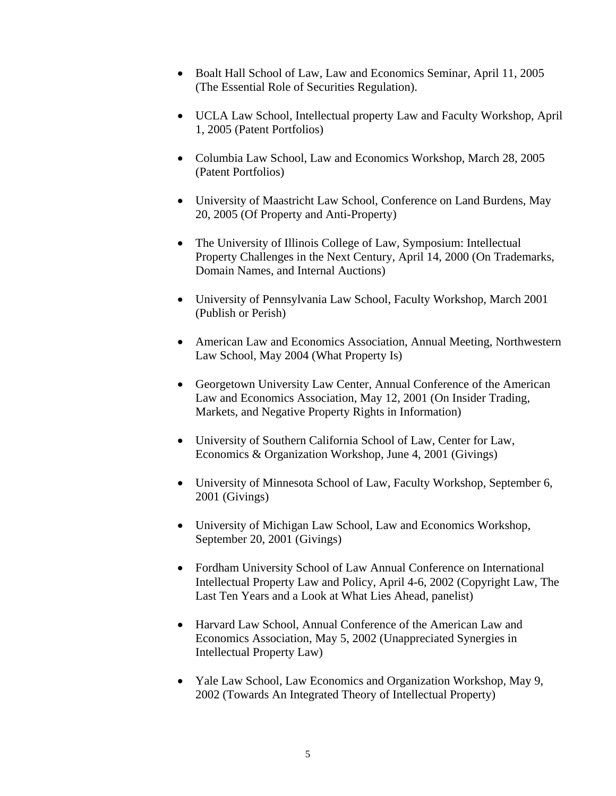- Boalt Hall School of Law, Law and Economics Seminar, April 11, 2005 (The Essential Role of Securities Regulation).
- UCLA Law School, Intellectual property Law and Faculty Workshop, April 1, 2005 (Patent Portfolios)
- Columbia Law School, Law and Economics Workshop, March 28, 2005 (Patent Portfolios)
- University of Maastricht Law School, Conference on Land Burdens, May 20, 2005 (Of Property and Anti-Property)
- The University of Illinois College of Law, Symposium: Intellectual Property Challenges in the Next Century, April 14, 2000 (On Trademarks, Domain Names, and Internal Auctions)
- University of Pennsylvania Law School, Faculty Workshop, March 2001 (Publish or Perish)
- American Law and Economics Association, Annual Meeting, Northwestern Law School, May 2004 (What Property Is)
- Georgetown University Law Center, Annual Conference of the American Law and Economics Association, May 12, 2001 (On Insider Trading, Markets, and Negative Property Rights in Information)
- University of Southern California School of Law, Center for Law, Economics & Organization Workshop, June 4, 2001 (Givings)
- University of Minnesota School of Law, Faculty Workshop, September 6, 2001 (Givings)
- University of Michigan Law School, Law and Economics Workshop, September 20, 2001 (Givings)
- Fordham University School of Law Annual Conference on International Intellectual Property Law and Policy, April 4-6, 2002 (Copyright Law, The Last Ten Years and a Look at What Lies Ahead, panelist)
- Harvard Law School, Annual Conference of the American Law and Economics Association, May 5, 2002 (Unappreciated Synergies in Intellectual Property Law)
- Yale Law School, Law Economics and Organization Workshop, May 9, 2002 (Towards An Integrated Theory of Intellectual Property)